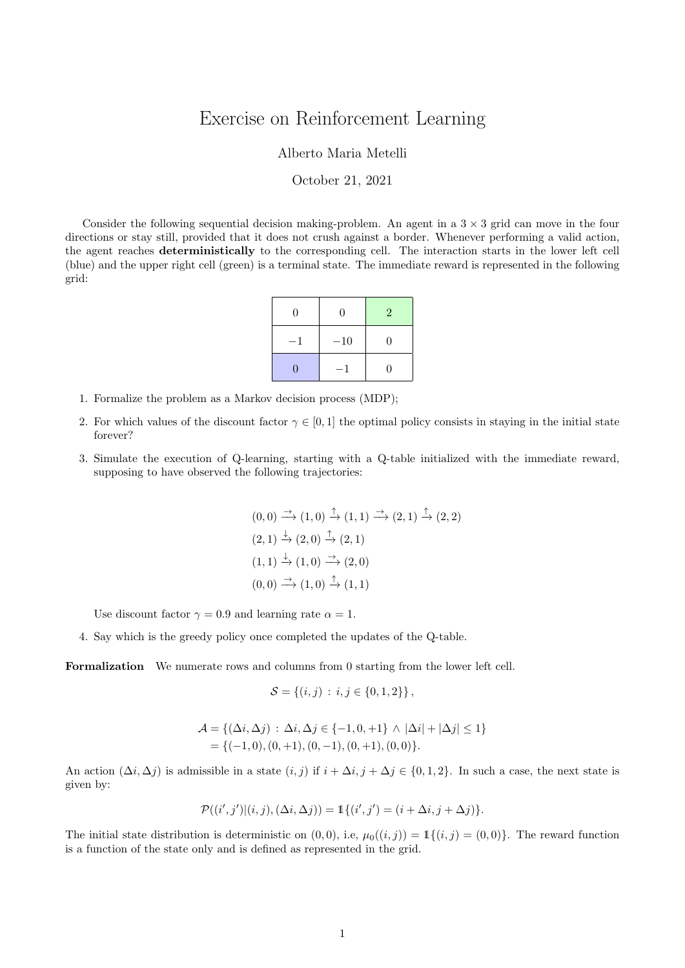## Exercise on Reinforcement Learning

Alberto Maria Metelli

## October 21, 2021

Consider the following sequential decision making-problem. An agent in a  $3 \times 3$  grid can move in the four directions or stay still, provided that it does not crush against a border. Whenever performing a valid action, the agent reaches deterministically to the corresponding cell. The interaction starts in the lower left cell (blue) and the upper right cell (green) is a terminal state. The immediate reward is represented in the following grid:

| 0  | 0     | $\overline{2}$ |
|----|-------|----------------|
| -1 | $-10$ | $\theta$       |
| 0  |       | 0              |

- 1. Formalize the problem as a Markov decision process (MDP);
- 2. For which values of the discount factor  $\gamma \in [0,1]$  the optimal policy consists in staying in the initial state forever?
- 3. Simulate the execution of Q-learning, starting with a Q-table initialized with the immediate reward, supposing to have observed the following trajectories:

$$
(0,0) \xrightarrow{\rightarrow} (1,0) \xrightarrow{\uparrow} (1,1) \xrightarrow{\rightarrow} (2,1) \xrightarrow{\uparrow} (2,2)
$$
  
\n
$$
(2,1) \xrightarrow{\downarrow} (2,0) \xrightarrow{\uparrow} (2,1)
$$
  
\n
$$
(1,1) \xrightarrow{\downarrow} (1,0) \xrightarrow{\rightarrow} (2,0)
$$
  
\n
$$
(0,0) \xrightarrow{\rightarrow} (1,0) \xrightarrow{\uparrow} (1,1)
$$

Use discount factor  $\gamma = 0.9$  and learning rate  $\alpha = 1$ .

4. Say which is the greedy policy once completed the updates of the Q-table.

Formalization We numerate rows and columns from 0 starting from the lower left cell.

$$
\mathcal{S} = \{(i, j) : i, j \in \{0, 1, 2\}\},\
$$

$$
\mathcal{A} = \{ (\Delta i, \Delta j) : \Delta i, \Delta j \in \{-1, 0, +1\} \land |\Delta i| + |\Delta j| \le 1 \}
$$
  
= \{ (-1, 0), (0, +1), (0, -1), (0, +1), (0, 0) \}.

An action  $(\Delta i, \Delta j)$  is admissible in a state  $(i, j)$  if  $i + \Delta i, j + \Delta j \in \{0, 1, 2\}$ . In such a case, the next state is given by:

$$
\mathcal{P}((i',j')|(i,j),(\Delta i,\Delta j)) = \mathbb{1}\{(i',j') = (i+\Delta i, j+\Delta j)\}.
$$

The initial state distribution is deterministic on  $(0, 0)$ , i.e,  $\mu_0((i, j)) = \mathbb{1}\{(i, j) = (0, 0)\}\.$  The reward function is a function of the state only and is defined as represented in the grid.